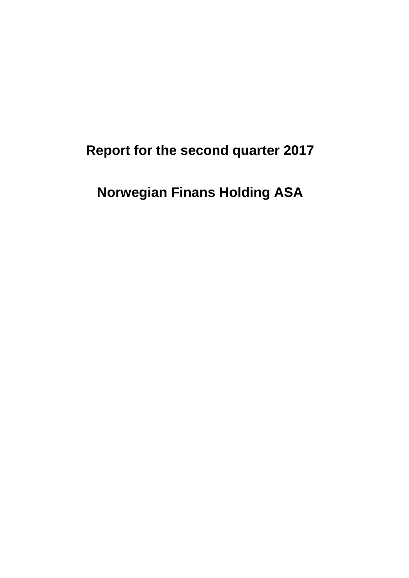# **Report for the second quarter 2017**

# **Norwegian Finans Holding ASA**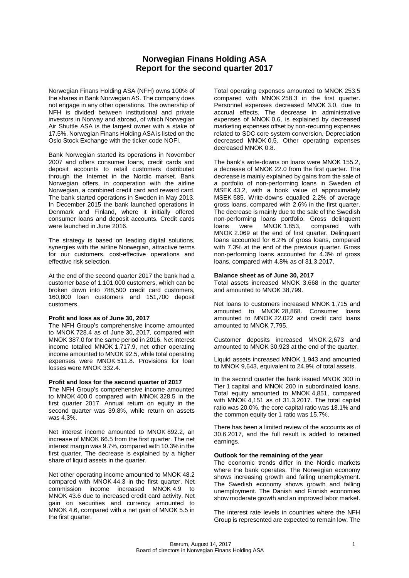#### **Norwegian Finans Holding ASA Report for the second quarter 2017**

Norwegian Finans Holding ASA (NFH) owns 100% of the shares in Bank Norwegian AS. The company does not engage in any other operations. The ownership of NFH is divided between institutional and private investors in Norway and abroad, of which Norwegian Air Shuttle ASA is the largest owner with a stake of 17.5%. Norwegian Finans Holding ASA is listed on the Oslo Stock Exchange with the ticker code NOFI.

Bank Norwegian started its operations in November 2007 and offers consumer loans, credit cards and deposit accounts to retail customers distributed through the Internet in the Nordic market. Bank Norwegian offers, in cooperation with the airline Norwegian, a combined credit card and reward card. The bank started operations in Sweden in May 2013. In December 2015 the bank launched operations in Denmark and Finland, where it initially offered consumer loans and deposit accounts. Credit cards were launched in June 2016.

The strategy is based on leading digital solutions, synergies with the airline Norwegian, attractive terms for our customers, cost-effective operations and effective risk selection.

At the end of the second quarter 2017 the bank had a customer base of 1,101,000 customers, which can be broken down into 788,500 credit card customers, 160,800 loan customers and 151,700 deposit customers.

#### **Profit and loss as of June 30, 2017**

The NFH Group's comprehensive income amounted to MNOK 728.4 as of June 30, 2017, compared with MNOK 387.0 for the same period in 2016. Net interest income totalled MNOK 1,717.9, net other operating income amounted to MNOK 92.5, while total operating expenses were MNOK 511.8. Provisions for loan losses were MNOK 332.4.

#### **Profit and loss for the second quarter of 2017**

The NFH Group's comprehensive income amounted to MNOK 400.0 compared with MNOK 328.5 in the first quarter 2017. Annual return on equity in the second quarter was 39.8%, while return on assets was 4.3%.

Net interest income amounted to MNOK 892.2, an increase of MNOK 66.5 from the first quarter. The net interest margin was 9.7%, compared with 10.3% in the first quarter. The decrease is explained by a higher share of liquid assets in the quarter.

Net other operating income amounted to MNOK 48.2 compared with MNOK 44.3 in the first quarter. Net commission income increased MNOK 4.9 to MNOK 43.6 due to increased credit card activity. Net gain on securities and currency amounted to MNOK 4.6, compared with a net gain of MNOK 5.5 in the first quarter.

Total operating expenses amounted to MNOK 253.5 compared with MNOK 258.3 in the first quarter. Personnel expenses decreased MNOK 3.0, due to accrual effects. The decrease in administrative expenses of MNOK 0.6, is explained by decreased marketing expenses offset by non-recurring expenses related to SDC core system conversion. Depreciation decreased MNOK 0.5. Other operating expenses decreased MNOK 0.8.

The bank's write-downs on loans were MNOK 155.2, a decrease of MNOK 22.0 from the first quarter. The decrease is mainly explained by gains from the sale of a portfolio of non-performing loans in Sweden of MSEK 43.2, with a book value of approximately MSEK 585. Write-downs equalled 2.2% of average gross loans, compared with 2.6% in the first quarter. The decrease is mainly due to the sale of the Swedish non-performing loans portfolio. Gross delinquent<br>loans were MNOK 1.853. compared with  $MNOK$  1.853. MNOK 2.069 at the end of first quarter. Delinquent loans accounted for 6.2% of gross loans, compared with 7.3% at the end of the previous quarter. Gross non-performing loans accounted for 4.3% of gross loans, compared with 4.8% as of 31.3.2017.

#### **Balance sheet as of June 30, 2017**

Total assets increased MNOK 3,668 in the quarter and amounted to MNOK 38,799.

Net loans to customers increased MNOK 1,715 and amounted to MNOK 28,868. Consumer loans amounted to MNOK 22,022 and credit card loans amounted to MNOK 7,795.

Customer deposits increased MNOK 2,673 and amounted to MNOK 30,923 at the end of the quarter.

Liquid assets increased MNOK 1,943 and amounted to MNOK 9,643, equivalent to 24.9% of total assets.

In the second quarter the bank issued MNOK 300 in Tier 1 capital and MNOK 200 in subordinated loans. Total equity amounted to MNOK 4,851, compared with MNOK 4,151 as of 31.3.2017. The total capital ratio was 20.0%, the core capital ratio was 18.1% and the common equity tier 1 ratio was 15.7%.

There has been a limited review of the accounts as of 30.6.2017, and the full result is added to retained earnings.

#### **Outlook for the remaining of the year**

The economic trends differ in the Nordic markets where the bank operates. The Norwegian economy shows increasing growth and falling unemployment. The Swedish economy shows growth and falling unemployment. The Danish and Finnish economies show moderate growth and an improved labor market.

The interest rate levels in countries where the NFH Group is represented are expected to remain low. The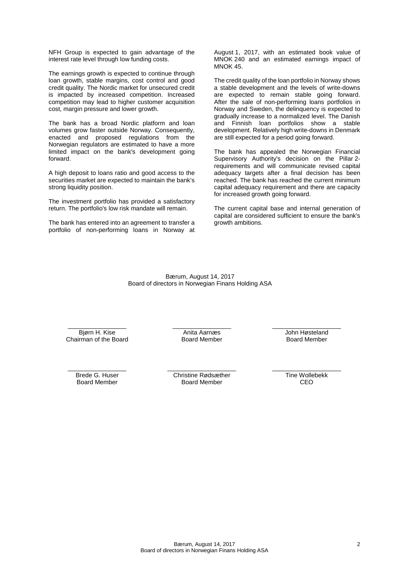NFH Group is expected to gain advantage of the interest rate level through low funding costs.

The earnings growth is expected to continue through loan growth, stable margins, cost control and good credit quality. The Nordic market for unsecured credit is impacted by increased competition. Increased competition may lead to higher customer acquisition cost, margin pressure and lower growth.

The bank has a broad Nordic platform and loan volumes grow faster outside Norway. Consequently, enacted and proposed regulations from the Norwegian regulators are estimated to have a more limited impact on the bank's development going forward.

A high deposit to loans ratio and good access to the securities market are expected to maintain the bank's strong liquidity position.

The investment portfolio has provided a satisfactory return. The portfolio's low risk mandate will remain.

The bank has entered into an agreement to transfer a portfolio of non-performing loans in Norway at August 1, 2017, with an estimated book value of MNOK 240 and an estimated earnings impact of MNOK 45.

The credit quality of the loan portfolio in Norway shows a stable development and the levels of write-downs are expected to remain stable going forward. After the sale of non-performing loans portfolios in Norway and Sweden, the delinquency is expected to gradually increase to a normalized level. The Danish and Finnish loan portfolios show a stable development. Relatively high write-downs in Denmark are still expected for a period going forward.

The bank has appealed the Norwegian Financial Supervisory Authority's decision on the Pillar 2 requirements and will communicate revised capital adequacy targets after a final decision has been reached. The bank has reached the current minimum capital adequacy requirement and there are capacity for increased growth going forward.

The current capital base and internal generation of capital are considered sufficient to ensure the bank's growth ambitions.

Bærum, August 14, 2017 Board of directors in Norwegian Finans Holding ASA

\_\_\_\_\_\_\_\_\_\_\_\_\_\_\_\_\_ Bjørn H. Kise Chairman of the Board  $\overline{\phantom{a}}$  , which is a set of the set of the set of the set of the set of the set of the set of the set of the set of the set of the set of the set of the set of the set of the set of the set of the set of the set of th Anita Aarnæs Board Member

\_\_\_\_\_\_\_\_\_\_\_\_\_\_\_\_\_\_\_\_ John Høsteland Board Member

\_\_\_\_\_\_\_\_\_\_\_\_\_\_\_\_\_ Brede G. Huser Board Member

\_\_\_\_\_\_\_\_\_\_\_\_\_\_\_\_\_\_\_\_ Christine Rødsæther Board Member

\_\_\_\_\_\_\_\_\_\_\_\_\_\_\_\_\_\_\_\_ Tine Wollebekk CEO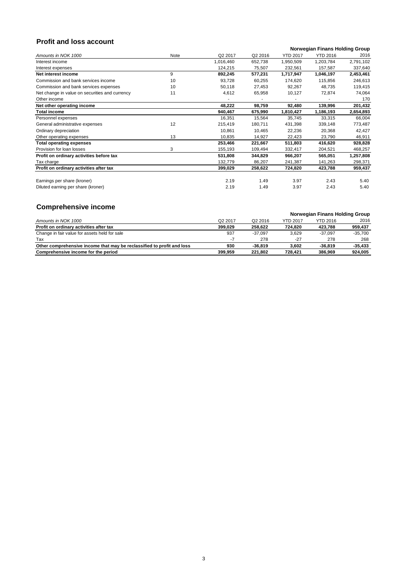### **Profit and loss account**

|                                                |      |           |                          |                 | <b>Norwegian Finans Holding Group</b> |           |
|------------------------------------------------|------|-----------|--------------------------|-----------------|---------------------------------------|-----------|
| Amounts in NOK 1000                            | Note | Q2 2017   | Q2 2016                  | <b>YTD 2017</b> | <b>YTD 2016</b>                       | 2016      |
| Interest income                                |      | 1,016,460 | 652,738                  | 1,950,509       | 1,203,784                             | 2,791,102 |
| Interest expenses                              |      | 124,215   | 75,507                   | 232,561         | 157,587                               | 337,640   |
| Net interest income                            | 9    | 892,245   | 577,231                  | 1,717,947       | 1,046,197                             | 2,453,461 |
| Commission and bank services income            | 10   | 93,728    | 60,255                   | 174,620         | 115,856                               | 246,613   |
| Commission and bank services expenses          | 10   | 50,118    | 27,453                   | 92,267          | 48,735                                | 119,415   |
| Net change in value on securities and currency | 11   | 4,612     | 65,958                   | 10,127          | 72,874                                | 74,064    |
| Other income                                   |      |           | $\overline{\phantom{a}}$ |                 |                                       | 170       |
| Net other operating income                     |      | 48,222    | 98,759                   | 92,480          | 139,996                               | 201,432   |
| <b>Total income</b>                            |      | 940,467   | 675,990                  | 1,810,427       | 1,186,193                             | 2,654,893 |
| Personnel expenses                             |      | 16,351    | 15,564                   | 35,745          | 33,315                                | 66,004    |
| General administrative expenses                | 12   | 215,419   | 180,711                  | 431,398         | 339,148                               | 773,487   |
| Ordinary depreciation                          |      | 10,861    | 10,465                   | 22,236          | 20,368                                | 42,427    |
| Other operating expenses                       | 13   | 10,835    | 14,927                   | 22,423          | 23,790                                | 46,911    |
| <b>Total operating expenses</b>                |      | 253,466   | 221,667                  | 511,803         | 416,620                               | 928,828   |
| Provision for loan losses                      | 3    | 155,193   | 109,494                  | 332,417         | 204,521                               | 468,257   |
| Profit on ordinary activities before tax       |      | 531,808   | 344,829                  | 966,207         | 565,051                               | 1,257,808 |
| Tax charge                                     |      | 132,779   | 86,207                   | 241,387         | 141,263                               | 298,371   |
| Profit on ordinary activities after tax        |      | 399,029   | 258,622                  | 724,820         | 423,788                               | 959,437   |
| Earnings per share (kroner)                    |      | 2.19      | 1.49                     | 3.97            | 2.43                                  | 5.40      |
| Diluted earning per share (kroner)             |      | 2.19      | 1.49                     | 3.97            | 2.43                                  | 5.40      |

## **Comprehensive income**

| __________________________                                             |                     |                     |                 |                                       |           |
|------------------------------------------------------------------------|---------------------|---------------------|-----------------|---------------------------------------|-----------|
|                                                                        |                     |                     |                 | <b>Norwegian Finans Holding Group</b> |           |
| Amounts in NOK 1000                                                    | Q <sub>2</sub> 2017 | Q <sub>2</sub> 2016 | <b>YTD 2017</b> | <b>YTD 2016</b>                       | 2016      |
| Profit on ordinary activities after tax                                | 399.029             | 258.622             | 724.820         | 423.788                               | 959,437   |
| Change in fair value for assets held for sale                          | 937                 | $-37.097$           | 3,629           | $-37.097$                             | -35,700   |
| Tax                                                                    | -7                  | 278                 | $-27$           | 278                                   | 268       |
| Other comprehensive income that may be reclassified to profit and loss | 930                 | $-36.819$           | 3.602           | $-36.819$                             | $-35,433$ |
| Comprehensive income for the period                                    | 399.959             | 221.802             | 728.421         | 386,969                               | 924.005   |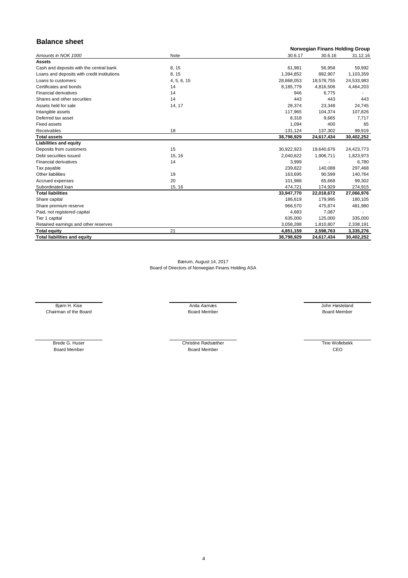### **Balance sheet**

| 30.6.17<br>30.6.16<br>Amounts in NOK 1000<br>Note<br><b>Assets</b><br>Cash and deposits with the central bank<br>8, 15<br>61,981<br>56,958<br>8, 15<br>Loans and deposits with credit institutions<br>1,394,852<br>882,907<br>4, 5, 6, 15<br>Loans to customers<br>28,868,053<br>18,578,755<br>24,533,983<br>Certificates and bonds<br>14<br>8,185,779<br>4,816,506<br>14<br><b>Financial derivatives</b><br>946<br>6,775<br>14<br>443<br>443<br>Shares and other securities<br>Assets held for sale<br>14, 17<br>28,374<br>23,348<br>Intangible assets<br>117,965<br>104,374<br>8,318<br>Deferred tax asset<br>9,665<br><b>Fixed assets</b><br>1,094<br>400<br>Receivables<br>18<br>131,124<br>137,302<br><b>Total assets</b><br>38,798,929<br>24,617,434 | <b>Norwegian Finans Holding Group</b> |  |  |  |
|------------------------------------------------------------------------------------------------------------------------------------------------------------------------------------------------------------------------------------------------------------------------------------------------------------------------------------------------------------------------------------------------------------------------------------------------------------------------------------------------------------------------------------------------------------------------------------------------------------------------------------------------------------------------------------------------------------------------------------------------------------|---------------------------------------|--|--|--|
|                                                                                                                                                                                                                                                                                                                                                                                                                                                                                                                                                                                                                                                                                                                                                            | 31.12.16                              |  |  |  |
|                                                                                                                                                                                                                                                                                                                                                                                                                                                                                                                                                                                                                                                                                                                                                            |                                       |  |  |  |
|                                                                                                                                                                                                                                                                                                                                                                                                                                                                                                                                                                                                                                                                                                                                                            | 59,992                                |  |  |  |
|                                                                                                                                                                                                                                                                                                                                                                                                                                                                                                                                                                                                                                                                                                                                                            | 1,103,359                             |  |  |  |
|                                                                                                                                                                                                                                                                                                                                                                                                                                                                                                                                                                                                                                                                                                                                                            |                                       |  |  |  |
|                                                                                                                                                                                                                                                                                                                                                                                                                                                                                                                                                                                                                                                                                                                                                            | 4,464,203                             |  |  |  |
|                                                                                                                                                                                                                                                                                                                                                                                                                                                                                                                                                                                                                                                                                                                                                            |                                       |  |  |  |
|                                                                                                                                                                                                                                                                                                                                                                                                                                                                                                                                                                                                                                                                                                                                                            | 443                                   |  |  |  |
|                                                                                                                                                                                                                                                                                                                                                                                                                                                                                                                                                                                                                                                                                                                                                            | 24,745                                |  |  |  |
|                                                                                                                                                                                                                                                                                                                                                                                                                                                                                                                                                                                                                                                                                                                                                            | 107,826                               |  |  |  |
|                                                                                                                                                                                                                                                                                                                                                                                                                                                                                                                                                                                                                                                                                                                                                            | 7,717                                 |  |  |  |
|                                                                                                                                                                                                                                                                                                                                                                                                                                                                                                                                                                                                                                                                                                                                                            | 65                                    |  |  |  |
|                                                                                                                                                                                                                                                                                                                                                                                                                                                                                                                                                                                                                                                                                                                                                            | 99,919                                |  |  |  |
|                                                                                                                                                                                                                                                                                                                                                                                                                                                                                                                                                                                                                                                                                                                                                            | 30,402,252                            |  |  |  |
| <b>Liabilities and equity</b>                                                                                                                                                                                                                                                                                                                                                                                                                                                                                                                                                                                                                                                                                                                              |                                       |  |  |  |
| 15<br>Deposits from customers<br>30,922,923<br>19,640,676<br>24,423,773                                                                                                                                                                                                                                                                                                                                                                                                                                                                                                                                                                                                                                                                                    |                                       |  |  |  |
| Debt securities issued<br>15, 16<br>1,906,711<br>2,040,622                                                                                                                                                                                                                                                                                                                                                                                                                                                                                                                                                                                                                                                                                                 | 1,823,973                             |  |  |  |
| 14<br><b>Financial derivatives</b><br>3,999                                                                                                                                                                                                                                                                                                                                                                                                                                                                                                                                                                                                                                                                                                                | 6,780                                 |  |  |  |
| 239,822<br>140,088<br>Tax payable                                                                                                                                                                                                                                                                                                                                                                                                                                                                                                                                                                                                                                                                                                                          | 297,468                               |  |  |  |
| Other liabilities<br>19<br>163,695<br>90,599                                                                                                                                                                                                                                                                                                                                                                                                                                                                                                                                                                                                                                                                                                               | 140,764                               |  |  |  |
| 20<br>Accrued expenses<br>101,988<br>65,668                                                                                                                                                                                                                                                                                                                                                                                                                                                                                                                                                                                                                                                                                                                | 99,302                                |  |  |  |
| Subordinated loan<br>15, 16<br>474,721<br>174,929                                                                                                                                                                                                                                                                                                                                                                                                                                                                                                                                                                                                                                                                                                          | 274,915                               |  |  |  |
| <b>Total liabilities</b><br>33,947,770<br>22,018,672<br>27,066,976                                                                                                                                                                                                                                                                                                                                                                                                                                                                                                                                                                                                                                                                                         |                                       |  |  |  |
| 186,619<br>179,995<br>Share capital                                                                                                                                                                                                                                                                                                                                                                                                                                                                                                                                                                                                                                                                                                                        | 180,105                               |  |  |  |
| Share premium reserve<br>966,570<br>475,874                                                                                                                                                                                                                                                                                                                                                                                                                                                                                                                                                                                                                                                                                                                | 481,980                               |  |  |  |
| Paid, not registered capital<br>4,683<br>7,087                                                                                                                                                                                                                                                                                                                                                                                                                                                                                                                                                                                                                                                                                                             |                                       |  |  |  |
| Tier 1 capital<br>635,000<br>125,000                                                                                                                                                                                                                                                                                                                                                                                                                                                                                                                                                                                                                                                                                                                       | 335,000                               |  |  |  |
| 3,058,288<br>Retained earnings and other reserves<br>1,810,807                                                                                                                                                                                                                                                                                                                                                                                                                                                                                                                                                                                                                                                                                             | 2,338,191                             |  |  |  |
| <b>Total equity</b><br>21<br>4,851,159<br>2,598,763                                                                                                                                                                                                                                                                                                                                                                                                                                                                                                                                                                                                                                                                                                        | 3,335,276                             |  |  |  |
| <b>Total liabilities and equity</b><br>38,798,929<br>30,402,252<br>24,617,434                                                                                                                                                                                                                                                                                                                                                                                                                                                                                                                                                                                                                                                                              |                                       |  |  |  |

Brede G. Huser Christine Rødsæther Board Member

Bærum, August 14, 2017 Board of Directors of Norwegian Finans Holding ASA

Chairman of the Board Nember Board Member Board Member Board Member Board Member Board Member

Bjørn H. Kise **Anita Aarnæs** Anita Aarnæs Anita Aarnæs Anita Aarnæs Anita Aarnæs Anita Aarnæs Anita Aarnæs Anita Aarnæs Anita Aarnæs Anita Aarnæs Anita Aarnæs Anita Aarnæs Anita Aarnæs Anita Aarnæs Anita Aarnæs Anita Aarnæ

Board Member

Tine Wollebekk CEO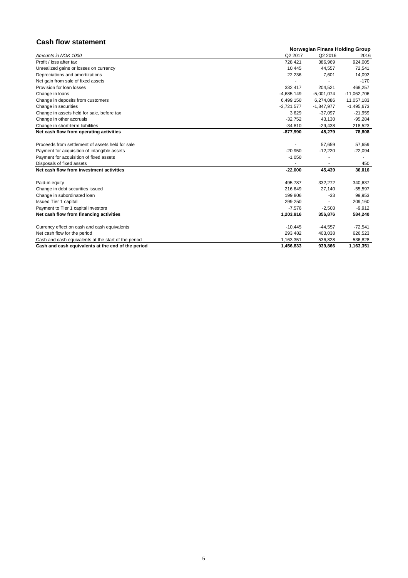### **Cash flow statement**

|                                                      | <b>Norwegian Finans Holding Group</b> |                     |               |  |  |
|------------------------------------------------------|---------------------------------------|---------------------|---------------|--|--|
| Amounts in NOK 1000                                  | Q <sub>2</sub> 2017                   | Q <sub>2</sub> 2016 | 2016          |  |  |
| Profit / loss after tax                              | 728,421                               | 386,969             | 924,005       |  |  |
| Unrealized gains or losses on currency               | 10,445                                | 44,557              | 72,541        |  |  |
| Depreciations and amortizations                      | 22,236                                | 7,601               | 14,092        |  |  |
| Net gain from sale of fixed assets                   |                                       |                     | $-170$        |  |  |
| Provision for loan losses                            | 332,417                               | 204,521             | 468,257       |  |  |
| Change in loans                                      | $-4,685,149$                          | $-5,001,074$        | $-11,062,706$ |  |  |
| Change in deposits from customers                    | 6,499,150                             | 6,274,086           | 11,057,183    |  |  |
| Change in securities                                 | $-3,721,577$                          | $-1,847,977$        | $-1,495,673$  |  |  |
| Change in assets held for sale, before tax           | 3,629                                 | $-37,097$           | $-21,959$     |  |  |
| Change in other accruals                             | $-32,752$                             | 43,130              | $-95,284$     |  |  |
| Change in short-term liabilities                     | $-34,810$                             | $-29,438$           | 218,523       |  |  |
| Net cash flow from operating activities              | $-877,990$                            | 45,279              | 78,808        |  |  |
| Proceeds from settlement of assets held for sale     |                                       | 57,659              | 57,659        |  |  |
| Payment for acquisition of intangible assets         | $-20,950$                             | $-12,220$           | $-22,094$     |  |  |
| Payment for acquisition of fixed assets              | $-1,050$                              |                     |               |  |  |
| Disposals of fixed assets                            |                                       |                     | 450           |  |  |
| Net cash flow from investment activities             | $-22,000$                             | 45,439              | 36,016        |  |  |
| Paid-in equity                                       | 495,787                               | 332,272             | 340,637       |  |  |
| Change in debt securities issued                     | 216,649                               | 27,140              | $-55,597$     |  |  |
| Change in subordinated loan                          | 199,806                               | $-33$               | 99,953        |  |  |
| <b>Issued Tier 1 capital</b>                         | 299,250                               |                     | 209,160       |  |  |
| Payment to Tier 1 capital investors                  | $-7,576$                              | $-2,503$            | $-9,912$      |  |  |
| Net cash flow from financing activities              | 1,203,916                             | 356,876             | 584,240       |  |  |
| Currency effect on cash and cash equivalents         | $-10,445$                             | $-44,557$           | $-72,541$     |  |  |
| Net cash flow for the period                         | 293,482                               | 403,038             | 626,523       |  |  |
| Cash and cash equivalents at the start of the period | 1,163,351                             | 536,828             | 536,828       |  |  |
| Cash and cash equivalents at the end of the period   | 1,456,833                             | 939.866             | 1,163,351     |  |  |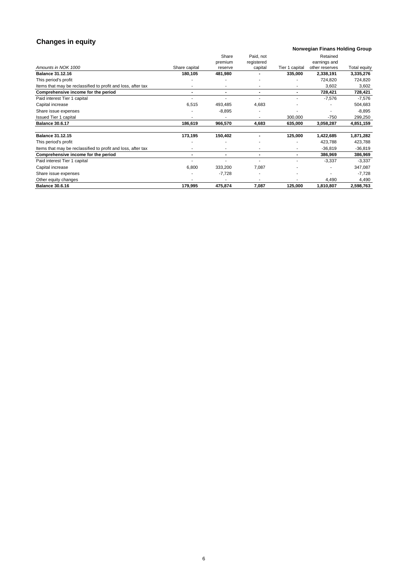## **Changes in equity**

#### **Norwegian Finans Holding Group**

|                                                              |                | Share          | Paid, not      |                | Retained       |              |
|--------------------------------------------------------------|----------------|----------------|----------------|----------------|----------------|--------------|
|                                                              |                | premium        | registered     |                | earnings and   |              |
| Amounts in NOK 1000                                          | Share capital  | reserve        | capital        | Tier 1 capital | other reserves | Total equity |
| <b>Balance 31.12.16</b>                                      | 180,105        | 481,980        |                | 335,000        | 2,338,191      | 3,335,276    |
| This period's profit                                         |                |                |                |                | 724,820        | 724,820      |
| Items that may be reclassified to profit and loss, after tax |                |                |                |                | 3,602          | 3,602        |
| Comprehensive income for the period                          | $\blacksquare$ | $\blacksquare$ | $\blacksquare$ | $\blacksquare$ | 728,421        | 728,421      |
| Paid interest Tier 1 capital                                 |                |                |                |                | $-7,576$       | $-7,576$     |
| Capital increase                                             | 6,515          | 493,485        | 4,683          |                |                | 504,683      |
| Share issue expenses                                         |                | $-8,895$       |                |                |                | $-8,895$     |
| <b>Issued Tier 1 capital</b>                                 |                |                |                | 300,000        | $-750$         | 299,250      |
| <b>Balance 30.6.17</b>                                       | 186,619        | 966,570        | 4,683          | 635,000        | 3,058,287      | 4,851,159    |
|                                                              |                |                |                |                |                |              |
| <b>Balance 31.12.15</b>                                      | 173,195        | 150,402        |                | 125,000        | 1,422,685      | 1,871,282    |
| This period's profit                                         |                |                |                |                | 423,788        | 423,788      |
| Items that may be reclassified to profit and loss, after tax |                |                |                |                | $-36,819$      | $-36,819$    |
| Comprehensive income for the period                          | $\blacksquare$ | $\blacksquare$ | $\blacksquare$ | $\blacksquare$ | 386,969        | 386,969      |
| Paid interest Tier 1 capital                                 |                |                |                |                | $-3,337$       | $-3,337$     |
| Capital increase                                             | 6,800          | 333,200        | 7,087          |                |                | 347,087      |
| Share issue expenses                                         |                | $-7,728$       |                |                |                | $-7,728$     |
| Other equity changes                                         |                |                |                |                | 4,490          | 4,490        |
| <b>Balance 30.6.16</b>                                       | 179,995        | 475,874        | 7,087          | 125,000        | 1,810,807      | 2,598,763    |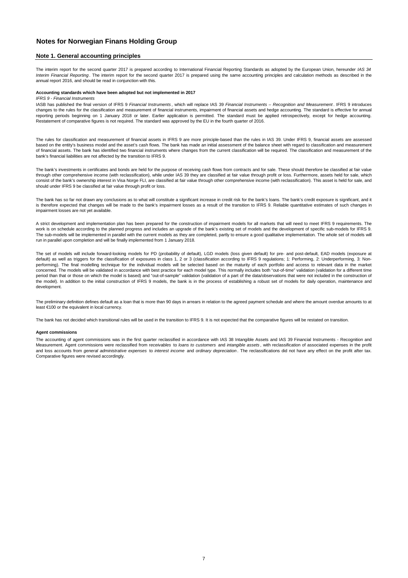### **Notes for Norwegian Finans Holding Group**

#### **Note 1. General accounting principles**

The interim report for the second quarter 2017 is prepared according to International Financial Reporting Standards as adopted by the European Union, hereunder *IAS 34 Interim Financial Reporting* . The interim report for the second quarter 2017 is prepared using the same accounting principles and calculation methods as described in the annual report 2016, and should be read in conjunction with this.

The accounting of agent commissions was in the first quarter reclassified in accordance with IAS 38 Intangible Assets and IAS 39 Financial Instruments - Recognition and Measurement. Agent commissions were reclassified from r*eceivables* to *loans to customers* and *intangible assets* , with reclassification of associated expenses in the profit and loss accounts from *general administrative expenses* to *interest income* and *ordinary depreciation* . The reclassifications did not have any effect on the profit after tax. Comparative figures were revised accordingly.

#### **Accounting standards which have been adopted but not implemented in 2017**

#### *IFRS 9 - Financial Instruments*

IASB has published the final version of IFRS 9 *Financial Instruments* , which will replace IAS 39 *Financial Instruments – Recognition and Measurement* . IFRS 9 introduces changes to the rules for the classification and measurement of financial instruments, impairment of financial assets and hedge accounting. The standard is effective for annual reporting periods beginning on 1 January 2018 or later. Earlier application is permitted. The standard must be applied retrospectively, except for hedge accounting. Restatement of comparative figures is not required. The standard was approved by the EU in the fourth quarter of 2016.

The rules for classification and measurement of financial assets in IFRS 9 are more principle-based than the rules in IAS 39. Under IFRS 9, financial assets are assessed based on the entity's business model and the asset's cash flows. The bank has made an initial assessment of the balance sheet with regard to classification and measurement of financial assets. The bank has identified two financial instruments where changes from the current classification will be required. The classification and measurement of the bank's financial liabilities are not affected by the transition to IFRS 9.

The bank's investments in certificates and bonds are held for the purpose of receiving cash flows from contracts and for sale. These should therefore be classified at fair value through other comprehensive income (with reclassification), while under IAS 39 they are classified at fair value through profit or loss. Furthermore, assets held for sale, which consist of the bank's ownership interest in Visa Norge FLI, are classified at fair value through other comprehensive income (with reclassification). This asset is held for sale, and should under IFRS 9 be classified at fair value through profit or loss.

The bank has so far not drawn any conclusions as to what will constitute a significant increase in credit risk for the bank's loans. The bank's credit exposure is significant, and it is therefore expected that changes will be made to the bank's impairment losses as a result of the transition to IFRS 9. Reliable quantitative estimates of such changes in impairment losses are not yet available.

A strict development and implementation plan has been prepared for the construction of impairment models for all markets that will need to meet IFRS 9 requirements. The work is on schedule according to the planned progress and includes an upgrade of the bank's existing set of models and the development of specific sub-models for IFRS 9. The sub-models will be implemented in parallel with the current models as they are completed, partly to ensure a good qualitative implementation. The whole set of models will run in parallel upon completion and will be finally implemented from 1 January 2018.

The set of models will include forward-looking models for PD (probability of default), LGD models (loss given default) for pre- and post-default, EAD models (exposure at default) as well as triggers for the classification of exposures in class 1, 2 or 3 (classification according to IFRS 9 regulations; 1: Performing, 2: Underperforming, 3: Nonperforming). The final modelling technique for the individual models will be selected based on the maturity of each portfolio and access to relevant data in the market concerned. The models will be validated in accordance with best practice for each model type. This normally includes both "out-of-time" validation (validation for a different time period than that or those on which the model is based) and "out-of-sample" validation (validation of a part of the data/observations that were not included in the construction of the model). In addition to the initial construction of IFRS 9 models, the bank is in the process of establishing a robust set of models for daily operation, maintenance and development.

The preliminary definition defines default as a loan that is more than 90 days in arrears in relation to the agreed payment schedule and where the amount overdue amounts to at least €100 or the equivalent in local currency.

The bank has not decided which transitional rules will be used in the transition to IFRS 9. It is not expected that the comparative figures will be restated on transition.

#### **Agent commissions**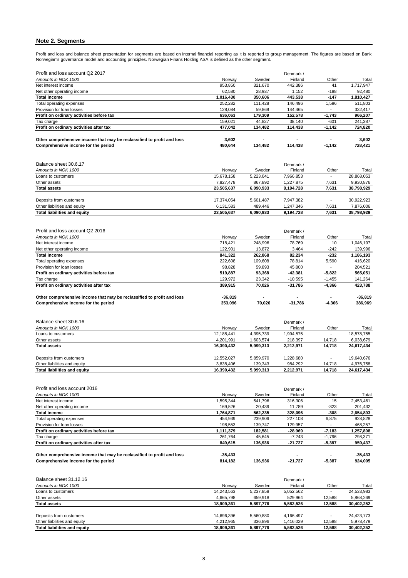### **Note 2. Segments**

Profit and loss and balance sheet presentation for segments are based on internal financial reporting as it is reported to group management. The figures are based on Bank Norwegian's governance model and accounting principles. Norwegian Finans Holding ASA is defined as the other segment.

| Denmark /<br>Finland<br>Other<br>41<br>442,386<br>1,152<br>$-188$<br>$-147$<br>443,538<br>146,496<br>1,596<br>144,465<br>152,578<br>$-1,743$<br>38,140<br>$-601$<br>114,438<br>$-1,142$<br>114,438<br>$-1,142$<br>Denmark / | Total<br>1,717,947<br>92,480<br>1,810,427<br>511,803<br>332,417<br>966,207<br>241,387<br>724,820<br>3,602<br>728,421<br>Total |
|-----------------------------------------------------------------------------------------------------------------------------------------------------------------------------------------------------------------------------|-------------------------------------------------------------------------------------------------------------------------------|
|                                                                                                                                                                                                                             |                                                                                                                               |
|                                                                                                                                                                                                                             |                                                                                                                               |
|                                                                                                                                                                                                                             |                                                                                                                               |
|                                                                                                                                                                                                                             |                                                                                                                               |
|                                                                                                                                                                                                                             |                                                                                                                               |
|                                                                                                                                                                                                                             |                                                                                                                               |
|                                                                                                                                                                                                                             |                                                                                                                               |
|                                                                                                                                                                                                                             |                                                                                                                               |
|                                                                                                                                                                                                                             |                                                                                                                               |
|                                                                                                                                                                                                                             |                                                                                                                               |
|                                                                                                                                                                                                                             |                                                                                                                               |
|                                                                                                                                                                                                                             |                                                                                                                               |
|                                                                                                                                                                                                                             |                                                                                                                               |
|                                                                                                                                                                                                                             |                                                                                                                               |
|                                                                                                                                                                                                                             |                                                                                                                               |
| Finland<br>Other                                                                                                                                                                                                            |                                                                                                                               |
| 7,966,853                                                                                                                                                                                                                   | 28,868,053                                                                                                                    |
| 1,227,875<br>7,631                                                                                                                                                                                                          | 9,930,876                                                                                                                     |
| 7,631<br>9,194,728                                                                                                                                                                                                          | 38,798,929                                                                                                                    |
|                                                                                                                                                                                                                             |                                                                                                                               |
| 7,947,382                                                                                                                                                                                                                   | 30,922,923                                                                                                                    |
| 1,247,346<br>7,631                                                                                                                                                                                                          | 7,876,006                                                                                                                     |
| 7,631<br>9,194,728                                                                                                                                                                                                          | 38,798,929                                                                                                                    |
|                                                                                                                                                                                                                             |                                                                                                                               |
| Denmark /                                                                                                                                                                                                                   |                                                                                                                               |
| Finland<br>Other                                                                                                                                                                                                            | Total                                                                                                                         |
| 10<br>78,769                                                                                                                                                                                                                | 1,046,197                                                                                                                     |
| 3,464<br>$-242$                                                                                                                                                                                                             | 139,996                                                                                                                       |
| 82,234<br>$-232$                                                                                                                                                                                                            | 1,186,193                                                                                                                     |
|                                                                                                                                                                                                                             | 416,620                                                                                                                       |
| 78,814<br>5,590                                                                                                                                                                                                             |                                                                                                                               |
| 45,800                                                                                                                                                                                                                      | 204,521                                                                                                                       |
| $-5,822$                                                                                                                                                                                                                    | 565,051                                                                                                                       |
| $-1,455$                                                                                                                                                                                                                    | 141,264                                                                                                                       |
| $-4,366$                                                                                                                                                                                                                    | 423,788                                                                                                                       |
|                                                                                                                                                                                                                             |                                                                                                                               |
|                                                                                                                                                                                                                             | $-36,819$                                                                                                                     |
| $-31,786$<br>$-4,366$                                                                                                                                                                                                       | 386,969                                                                                                                       |
|                                                                                                                                                                                                                             |                                                                                                                               |
|                                                                                                                                                                                                                             |                                                                                                                               |
|                                                                                                                                                                                                                             |                                                                                                                               |
| Finland<br>Other                                                                                                                                                                                                            | Total                                                                                                                         |
| 1,994,575                                                                                                                                                                                                                   | 18,578,755                                                                                                                    |
| 218,397<br>14,718                                                                                                                                                                                                           | 6,038,679                                                                                                                     |
| 14,718<br>2,212,971                                                                                                                                                                                                         | 24,617,434                                                                                                                    |
|                                                                                                                                                                                                                             |                                                                                                                               |
| 1,228,680                                                                                                                                                                                                                   | 19,640,676                                                                                                                    |
| 984,292<br>14,718<br>2,212,971<br>14,718                                                                                                                                                                                    | 4,976,758<br>24,617,434                                                                                                       |
|                                                                                                                                                                                                                             | $-42,381$<br>$-10,595$<br>$-31,786$<br>Denmark /                                                                              |

| Profit and loss account 2016                                           |            |           | Denmark / |          |            |
|------------------------------------------------------------------------|------------|-----------|-----------|----------|------------|
| Amounts in NOK 1000                                                    | Norway     | Sweden    | Finland   | Other    | Total      |
| Net interest income                                                    | 1,595,344  | 541,796   | 316,306   | 15       | 2,453,461  |
| Net other operating income                                             | 169,526    | 20,439    | 11,789    | $-323$   | 201,432    |
| <b>Total income</b>                                                    | 1,764,871  | 562,235   | 328,096   | $-308$   | 2,654,893  |
| Total operating expenses                                               | 454,939    | 239,906   | 227,108   | 6,875    | 928,828    |
| Provision for loan losses                                              | 198,553    | 139,747   | 129,957   |          | 468,257    |
| Profit on ordinary activities before tax                               | 1,111,379  | 182,581   | -28,969   | $-7,183$ | 1,257,808  |
| Tax charge                                                             | 261,764    | 45,645    | $-7,243$  | $-1,796$ | 298,371    |
| Profit on ordinary activities after tax                                | 849,615    | 136,936   | $-21,727$ | $-5,387$ | 959,437    |
| Other comprehensive income that may be reclassified to profit and loss | $-35,433$  |           |           |          | $-35,433$  |
| Comprehensive income for the period                                    | 814,182    | 136,936   | $-21,727$ | $-5,387$ | 924,005    |
| Balance sheet 31.12.16                                                 |            |           | Denmark / |          |            |
| Amounts in NOK 1000                                                    | Norway     | Sweden    | Finland   | Other    | Total      |
| Loans to customers                                                     | 14,243,563 | 5,237,858 | 5,052,562 |          | 24,533,983 |
| Other assets                                                           | 4,665,798  | 659,918   | 529,964   | 12,588   | 5,868,269  |
| <b>Total assets</b>                                                    | 18,909,361 | 5,897,776 | 5,582,526 | 12,588   | 30,402,252 |
|                                                                        |            |           |           |          |            |
| Deposits from customers                                                | 14,696,396 | 5,560,880 | 4,166,497 |          | 24,423,773 |
| Other liabilities and equity                                           | 4,212,965  | 336,896   | 1,416,029 | 12,588   | 5,978,479  |
| <b>Total liabilities and equity</b>                                    | 18,909,361 | 5,897,776 | 5,582,526 | 12,588   | 30,402,252 |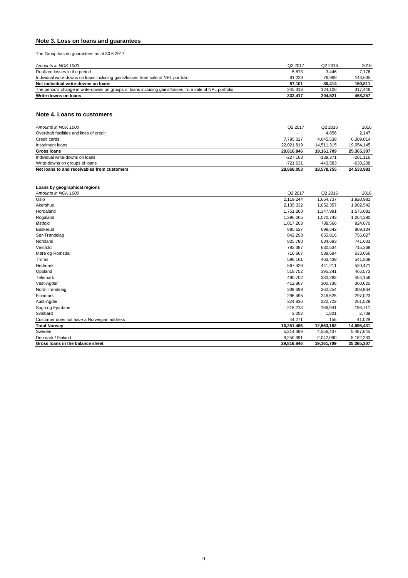### **Note 3. Loss on loans and guarantees**

The Group has no guarantees as at 30.6.2017.

| Amounts in NOK 1000                                                                                     | Q <sub>2</sub> 2017 | Q <sub>2</sub> 2016 | 2016    |
|---------------------------------------------------------------------------------------------------------|---------------------|---------------------|---------|
| Realized losses in the period                                                                           | 5,873               | 3.446               | 7.176   |
| Individual write-downs on loans including gains/losses from sale of NPL portfolio                       | 81.229              | 76.969              | 143,635 |
| Net individual write-downs on loans                                                                     | 87.101              | 80.414              | 150.811 |
| The period's change in write-downs on groups of loans including gains/losses from sale of NPL portfolio | 245.316             | 124.106             | 317.446 |
| Write-downs on loans                                                                                    | 332.417             | 204.521             | 468.257 |

#### **Note 4. Loans to customers**

| Amounts in NOK 1000                         | Q <sub>2</sub> 2017 | Q <sub>2</sub> 2016 | 2016       |
|---------------------------------------------|---------------------|---------------------|------------|
| Overdraft facilities and lines of credit    |                     | 4,856               | 2.147      |
| Credit cards                                | 7,795,027           | 4,645,538           | 6,309,014  |
| Instalment loans                            | 22,021,819          | 14,511,315          | 19,054,145 |
| Gross Ioans                                 | 29,816,846          | 19,161,709          | 25,365,307 |
| Individual write-downs on loans             | $-227.163$          | -139.371            | $-201.116$ |
| Write-downs on groups of loans              | -721.631            | -443.583            | $-630,208$ |
| Net loans to and receivables from customers | 28,868,053          | 18,578,755          | 24,533,983 |

#### **Loans by geographical regions**

| Amounts in NOK 1000                        | Q2 2017    | Q2 2016    | 2016       |
|--------------------------------------------|------------|------------|------------|
| Oslo                                       | 2,119,244  | 1,664,737  | 1,920,981  |
| Akershus                                   | 2,105,332  | 1,652,357  | 1,902,542  |
| Hordaland                                  | 1,751,260  | 1,347,991  | 1,575,081  |
| Rogaland                                   | 1,396,265  | 1,070,743  | 1,264,380  |
| Østfold                                    | 1,017,203  | 788,566    | 924,670    |
| <b>Buskerud</b>                            | 885,627    | 698,642    | 809,134    |
| Sør-Trøndelag                              | 842,293    | 655,816    | 756,027    |
| Nordland                                   | 825,780    | 634,693    | 741,603    |
| Vestfold                                   | 783,387    | 630,534    | 715,268    |
| Møre og Romsdal                            | 710,667    | 539,694    | 633,056    |
| Troms                                      | 598,161    | 463,439    | 541,868    |
| Hedmark                                    | 567,429    | 441,211    | 520,471    |
| Oppland                                    | 518,752    | 395,241    | 466,573    |
| <b>Telemark</b>                            | 490,702    | 380,282    | 454,156    |
| Vest-Agder                                 | 412,867    | 300,736    | 360,625    |
| Nord-Trøndelag                             | 339,699    | 262,254    | 309,964    |
| Finnmark                                   | 296,495    | 246,625    | 297,023    |
| Aust-Agder                                 | 324,836    | 220,722    | 261,529    |
| Sogn og Fjordane                           | 218,213    | 166,941    | 196,711    |
| Svalbard                                   | 3,003      | 1,801      | 2,739      |
| Customer does not have a Norwegian address | 44,271     | 155        | 41,029     |
| <b>Total Norway</b>                        | 16,251,486 | 12,563,182 | 14,695,431 |
| Sweden                                     | 5,314,369  | 4,556,437  | 5,487,645  |
| Denmark / Finland                          | 8,250,991  | 2,042,090  | 5,182,230  |
| Gross loans in the balance sheet           | 29,816,846 | 19,161,709 | 25,365,307 |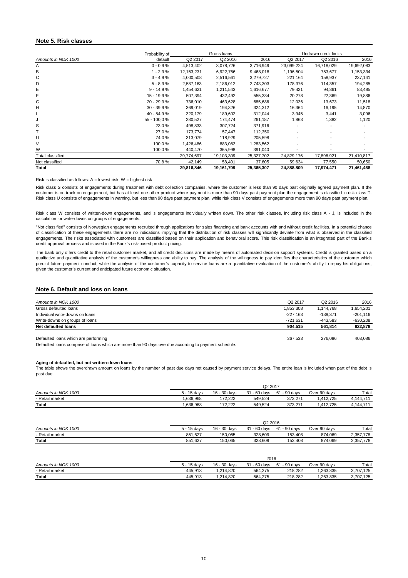#### **Note 5. Risk classes**

#### **Note 6. Default and loss on loans**

| 403,086    | 276,086             | 367,533             | Defaulted loans which are performing |
|------------|---------------------|---------------------|--------------------------------------|
| 822,878    | 561,814             | 904.515             | Net defaulted loans                  |
| -630,208   | -443.583            | $-721.631$          | Write-downs on groups of loans       |
| $-201.116$ | -139.371            | $-227.163$          | Individual write-downs on loans      |
| 1,654,201  | 1,144,768           | 1,853,308           | Gross defaulted loans                |
| 2016       | Q <sub>2</sub> 2016 | Q <sub>2</sub> 2017 | Amounts in NOK 1000                  |
|            |                     |                     |                                      |

Risk class W consists of written-down engagements, and is engagements individually written down. The other risk classes, including risk class A - J, is included in the calculation for write-downs on groups of engagements.

|                     | Probability of |              | Gross Ioans |            |                     | Undrawn credit limits |            |
|---------------------|----------------|--------------|-------------|------------|---------------------|-----------------------|------------|
| Amounts in NOK 1000 | default        | Q2 2017      | Q2 2016     | 2016       | Q <sub>2</sub> 2017 | Q <sub>2</sub> 2016   | 2016       |
| A                   | $0 - 0.9 %$    | 4,513,402    | 3,078,726   | 3,716,949  | 23,099,224          | 16,718,029            | 19,692,083 |
| B                   | $1 - 2,9%$     | 12, 153, 231 | 6,922,766   | 9,468,018  | 1,196,504           | 753,677               | 1,153,334  |
| С                   | $3 - 4.9%$     | 4,000,508    | 2,516,561   | 3,279,727  | 221,164             | 158,937               | 237,141    |
| D                   | $5 - 8,9%$     | 2,587,163    | 2,186,012   | 2,743,303  | 178,376             | 114,357               | 194,285    |
| Е                   | $9 - 14,9%$    | 1,454,621    | 1,211,543   | 1,616,677  | 79,421              | 94,861                | 83,485     |
| F                   | 15 - 19,9 %    | 507,394      | 432,492     | 555,334    | 20,278              | 22,369                | 19,886     |
| G                   | $20 - 29.9 %$  | 736,010      | 463,628     | 685,686    | 12,036              | 13,673                | 11,518     |
| Н                   | $30 - 39.9 %$  | 369,019      | 194,326     | 324,312    | 16,364              | 16,195                | 14,870     |
|                     | $40 - 54.9%$   | 320,179      | 189,602     | 312,044    | 3,945               | 3,441                 | 3,096      |
| J                   | 55 - 100,0 %   | 280,527      | 174,474     | 261,187    | 1,863               | 1,382                 | 1,120      |
| S                   | 23.0 %         | 498,833      | 307,724     | 371,916    |                     |                       |            |
|                     | 27.0 %         | 173,774      | 57,447      | 112,350    |                     |                       |            |
| U                   | 74.0%          | 313,079      | 118,929     | 205,598    |                     |                       |            |
| V                   | 100.0%         | 1,426,486    | 883,083     | 1,283,562  |                     |                       |            |
| W                   | 100.0%         | 440,470      | 365,998     | 391,040    |                     |                       |            |
| Total classified    |                | 29,774,697   | 19,103,309  | 25,327,702 | 24,829,176          | 17,896,921            | 21,410,817 |
| Not classified      | 70.8%          | 42,149       | 58,401      | 37,605     | 59,634              | 77,550                | 50,650     |
| <b>Total</b>        |                | 29,816,846   | 19,161,709  | 25,365,307 | 24,888,809          | 17,974,471            | 21,461,468 |

#### Risk is classified as follows:  $A =$  lowest risk,  $W =$  highest risk

Risk class S consists of engagements during treatment with debt collection companies, where the customer is less than 90 days past originally agreed payment plan. If the customer is on track on engagement, but has at least one other product where payment is more than 90 days past payment plan the engagement is classified in risk class T. Risk class U consists of engagements in warning, but less than 90 days past payment plan, while risk class V consists of engagements more than 90 days past payment plan.

Defaulted loans comprise of loans which are more than 90 days overdue according to payment schedule.

#### **Aging of defaulted, but not written-down loans**

"Not classified" consists of Norwegian engagements recruited through applications for sales financing and bank accounts with and without credit facilities. In a potential chance of classification of these engagements there are no indications implying that the distribution of risk classes will significantly deviate from what is observed in the classified engagements. The risks associated with customers are classified based on their application and behavioral score. This risk classification is an integrated part of the Bank's credit approval process and is used in the Bank's risk-based product pricing.

|                     | Q2 2017     |              |                 |                    |              |           |
|---------------------|-------------|--------------|-----------------|--------------------|--------------|-----------|
| Amounts in NOK 1000 | 5 - 15 davs | 16 - 30 days | 31<br>- 60 davs | 1 - 90 days<br>-61 | Over 90 davs | Total     |
| - Retail market     | 836.968.    | 172.222      | 549.524         | 373.271            | .412.725     | 4.144.711 |
| Total               | .636,968    | 172.222      | 549,524         | 373.271            | .412.725     | 4.144.711 |

|                     |            | Q2 2016      |                              |              |              |           |  |
|---------------------|------------|--------------|------------------------------|--------------|--------------|-----------|--|
| Amounts in NOK 1000 | $-15$ davs | 16 - 30 days | $-60$<br>-21<br>davs /<br>ບ≀ | 61 - 90 davs | Over 90 days | Total     |  |
| - Retail market     | 851,627    | 150.065      | 328,609                      | 153.408      | 874,069      | 2,357,778 |  |
| Total               | 851 627    | 150.065      | 328 609                      | 153 408      | 874 069      | 2 357 778 |  |

| ι νιαι              | 001.041     | TUU.UUJ      | ozo.uus      | 199. <del>4</del> 00 | <u>014.009</u> | 2,007,70  |
|---------------------|-------------|--------------|--------------|----------------------|----------------|-----------|
|                     |             |              |              |                      |                |           |
|                     |             |              | 2016         |                      |                |           |
| Amounts in NOK 1000 | 5 - 15 days | 16 - 30 days | 31 - 60 davs | 61 - 90 davs         | Over 90 days   | Total     |
| - Retail market     | 445.913     | 1.214.820    | 564.275      | 218,282              | 1,263,835      | 3,707,125 |
| <b>Total</b>        | 445.913     | 1.214.820    | 564.275      | 218.282              | 1,263,835      | 3,707,125 |

The bank only offers credit to the retail customer market, and all credit decisions are made by means of automated decision support systems. Credit is granted based on a qualitative and quantitative analysis of the customer's willingness and ability to pay. The analysis of the willingness to pay identifies the characteristics of the customer which predict future payment conduct, while the analysis of the customer's capacity to service loans are a quantitative evaluation of the customer's ability to repay his obligations, given the customer's current and anticipated future economic situation.

The table shows the overdrawn amount on loans by the number of past due days not caused by payment service delays. The entire loan is included when part of the debt is past due.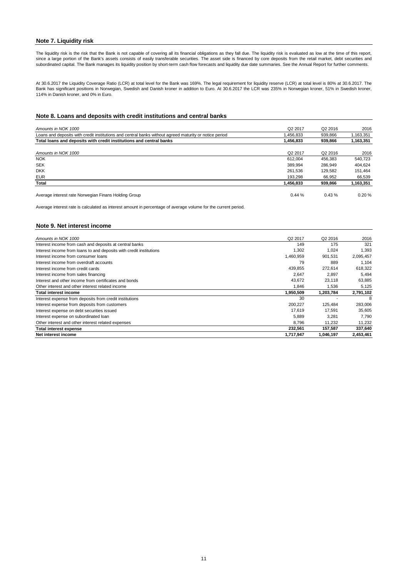#### **Note 7. Liquidity risk**

The liquidity risk is the risk that the Bank is not capable of covering all its financial obligations as they fall due. The liquidity risk is evaluated as low at the time of this report, since a large portion of the Bank's assets consists of easily transferable securities. The asset side is financed by core deposits from the retail market, debt securities and subordinated capital. The Bank manages its liquidity position by short-term cash flow forecasts and liquidity due date summaries. See the Annual Report for further comments.

#### **Note 8. Loans and deposits with credit institutions and central banks**

| Amounts in NOK 1000                                                                                    | Q <sub>2</sub> 2017 | Q <sub>2</sub> 2016 | 2016      |
|--------------------------------------------------------------------------------------------------------|---------------------|---------------------|-----------|
| Loans and deposits with credit institutions and central banks without agreed maturity or notice period | ,456,833            | 939,866             | 1,163,351 |
| Total loans and deposits with credit institutions and central banks                                    | 1,456,833           | 939,866             | 1,163,351 |
| Amounts in NOK 1000                                                                                    | Q <sub>2</sub> 2017 | Q <sub>2</sub> 2016 | 2016      |
| <b>NOK</b>                                                                                             | 612.004             | 456.383             | 540.723   |
| <b>SEK</b>                                                                                             | 389,994             | 286.949             | 404,624   |
| <b>DKK</b>                                                                                             | 261,536             | 129,582             | 151,464   |
| <b>EUR</b>                                                                                             | 193.298             | 66,952              | 66,539    |
| <b>Total</b>                                                                                           | 1,456,833           | 939,866             | 1,163,351 |
| Average interest rate Norwegian Finans Holding Group                                                   | 0.44%               | 0.43%               | $0.20 \%$ |

#### **Note 9. Net interest income**

| Amounts in NOK 1000                                                 | Q <sub>2</sub> 2017 | Q <sub>2</sub> 2016 | 2016      |
|---------------------------------------------------------------------|---------------------|---------------------|-----------|
| Interest income from cash and deposits at central banks             | 149                 | 175                 | 321       |
| Interest income from loans to and deposits with credit institutions | 1,302               | 1,024               | 1,393     |
| Interest income from consumer loans                                 | 1,460,959           | 901,531             | 2,095,457 |
| Interest income from overdraft accounts                             | 79                  | 889                 | 1.104     |
| Interest income from credit cards                                   | 439,855             | 272,614             | 618,322   |
| Interest income from sales financing                                | 2,647               | 2,897               | 5,494     |
| Interest and other income from certificates and bonds               | 43,672              | 23,118              | 63,885    |
| Other interest and other interest related income                    | 1.846               | 1,536               | 5,125     |
| <b>Total interest income</b>                                        | 1,950,509           | 1,203,784           | 2,791,102 |
| Interest expense from deposits from credit institutions             | 30                  |                     | 8         |
| Interest expense from deposits from customers                       | 200,227             | 125,484             | 283,006   |
| Interest expense on debt securities issued                          | 17,619              | 17.591              | 35,605    |
| Interest expense on subordinated loan                               | 5,889               | 3,281               | 7,790     |
| Other interest and other interest related expenses                  | 8,796               | 11,232              | 11,232    |
| Total interest expense                                              | 232,561             | 157,587             | 337,640   |
| Net interest income                                                 | 1,717,947           | 1,046,197           | 2,453,461 |

Average interest rate is calculated as interest amount in percentage of average volume for the current period.

At 30.6.2017 the Liquidity Coverage Ratio (LCR) at total level for the Bank was 169%. The legal requirement for liquidity reserve (LCR) at total level is 80% at 30.6.2017. The Bank has significant positions in Norwegian, Swedish and Danish kroner in addition to Euro. At 30.6.2017 the LCR was 235% in Norwegian kroner, 51% in Swedish kroner, 114% in Danish kroner, and 0% in Euro.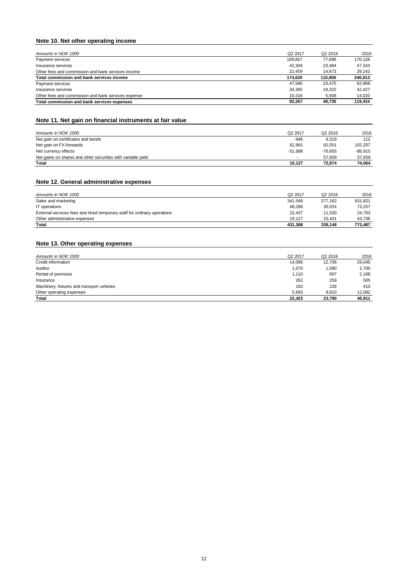### **Note 10. Net other operating income**

| Amounts in NOK 1000                                 | Q <sub>2</sub> 2017 | Q <sub>2</sub> 2016 | 2016    |
|-----------------------------------------------------|---------------------|---------------------|---------|
| Payment services                                    | 109.857             | 77.699              | 170.128 |
| Insurance services                                  | 42.304              | 23,484              | 47,343  |
| Other fees and commission and bank services income  | 22.459              | 14.673              | 29,142  |
| Total commission and bank services income           | 174.620             | 115,856             | 246,613 |
| Payment services                                    | 47.586              | 23.475              | 62.968  |
| Insurance services                                  | 34.365              | 19.322              | 42.427  |
| Other fees and commission and bank services expense | 10,316              | 5,938               | 14,020  |
| Total commission and bank services expenses         | 92.267              | 48.735              | 119,415 |

### **Note 11. Net gain on financial instruments at fair value**

| Amounts in NOK 1000                                          | Q <sub>2</sub> 2017 | Q <sub>2</sub> 2016 | 2016    |
|--------------------------------------------------------------|---------------------|---------------------|---------|
| Net gain on certificates and bonds                           | -946                | 9,319               | 112     |
| Net gain on FX-forwards                                      | 62,961              | 82,551              | 102,207 |
| Net currency effects                                         | $-51.888$           | -76.655             | -85,915 |
| Net gains on shares and other securities with variable yield |                     | 57.659              | 57,659  |
| Total                                                        | 10.127              | 72.874              | 74,064  |

### **Note 12. General administrative expenses**

| Amounts in NOK 1000                                                      | Q <sub>2</sub> 2017 | Q <sub>2</sub> 2016 | 2016    |
|--------------------------------------------------------------------------|---------------------|---------------------|---------|
| Sales and marketing                                                      | 341,548             | 277.162             | 631,821 |
| IT operations                                                            | 48,286              | 35.024              | 73.257  |
| External services fees and hired temporary staff for ordinary operations | 22.437              | 11.530              | 24,703  |
| Other administrative expenses                                            | 19.127              | 15.431              | 43,706  |
| <b>Total</b>                                                             | 431,398             | 339.148             | 773,487 |

### **Note 13. Other operating expenses**

| Amounts in NOK 1000                        | Q <sub>2</sub> 2017 | Q <sub>2</sub> 2016 | 2016   |
|--------------------------------------------|---------------------|---------------------|--------|
| Credit information                         | 14,096              | 12,706              | 29,045 |
| Auditor                                    | 1,070               | 1,090               | 2,700  |
| Rental of premises                         | 1,110               | 697                 | 2,168  |
| Insurance                                  | 262                 | 259                 | 505    |
| Machinery, fixtures and transport vehicles | 193                 | 228                 | 410    |
| Other operating expenses                   | 5,693               | 8,810               | 12,082 |
| <b>Total</b>                               | 22,423              | 23,790              | 46,911 |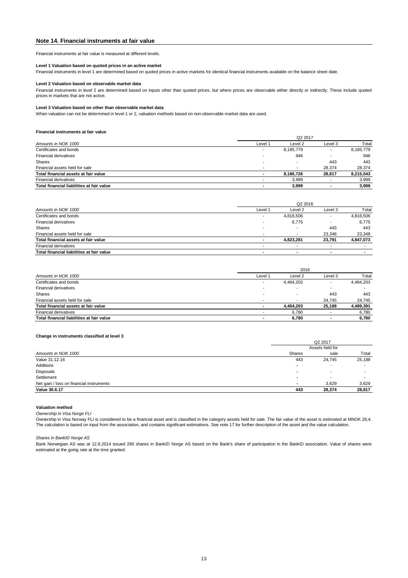#### **Note 14. Financial instruments at fair value**

#### **Level 2 Valuation based on observable market data**

#### **Level 3 Valuation based on other than observable market data**

#### **Financial instruments at fair value**

|                                           | Q <sub>2</sub> 2017      |           |         |           |  |
|-------------------------------------------|--------------------------|-----------|---------|-----------|--|
| Amounts in NOK 1000                       | Level 1                  | Level 2   | Level 3 | Total     |  |
| Certificates and bonds                    | $\overline{\phantom{0}}$ | 8,185,779 |         | 8,185,779 |  |
| <b>Financial derivatives</b>              | $\overline{\phantom{0}}$ | 946       |         | 946       |  |
| <b>Shares</b>                             | $\overline{\phantom{0}}$ |           | 443     | 443       |  |
| Financial assets held for sale            | $\overline{\phantom{0}}$ |           | 28.374  | 28,374    |  |
| Total financial assets at fair value      |                          | 8,186,726 | 28,817  | 8,215,543 |  |
| <b>Financial derivatives</b>              |                          | 3,999     |         | 3,999     |  |
| Total financial liabilities at fair value |                          | 3,999     |         | 3,999     |  |

| Amounts in NOK 1000                       |                          | 2016      |                |           |  |  |
|-------------------------------------------|--------------------------|-----------|----------------|-----------|--|--|
|                                           | Level 1                  | Level 2   | Level 3        | Total     |  |  |
| Certificates and bonds                    | ٠                        | 4,464,203 |                | 4,464,203 |  |  |
| <b>Financial derivatives</b>              | $\overline{\phantom{a}}$ |           |                |           |  |  |
| Shares                                    | $\overline{\phantom{0}}$ |           | 443            | 443       |  |  |
| Financial assets held for sale            | $\overline{\phantom{a}}$ |           | 24.745         | 24,745    |  |  |
| Total financial assets at fair value      | $\overline{\phantom{a}}$ | 4.464.203 | 25,188         | 4,489,391 |  |  |
| <b>Financial derivatives</b>              |                          | 6.780     |                | 6,780     |  |  |
| Total financial liabilities at fair value | $\blacksquare$           | 6,780     | $\blacksquare$ | 6.780     |  |  |

#### **Change in instruments classified at level 3**

|                                           | Q2 2016                  |           |                          |           |  |
|-------------------------------------------|--------------------------|-----------|--------------------------|-----------|--|
| Amounts in NOK 1000                       | Level 1                  | Level 2   | Level 3                  | Total     |  |
| Certificates and bonds                    |                          | 4,816,506 | $\overline{\phantom{a}}$ | 4,816,506 |  |
| <b>Financial derivatives</b>              |                          | 6,775     |                          | 6,775     |  |
| <b>Shares</b>                             | . .                      |           | 443                      | 443       |  |
| Financial assets held for sale            | $\overline{\phantom{0}}$ |           | 23.348                   | 23,348    |  |
| Total financial assets at fair value      |                          | 4,823,281 | 23,791                   | 4,847,073 |  |
| <b>Financial derivatives</b>              |                          |           | $\overline{\phantom{a}}$ |           |  |
| Total financial liabilities at fair value | $\blacksquare$           | $\sim$    | $\blacksquare$           |           |  |

|                                          | Q <sub>2</sub> 2017 |                          |        |  |
|------------------------------------------|---------------------|--------------------------|--------|--|
|                                          | Assets held for     |                          |        |  |
| Amounts in NOK 1000                      | <b>Shares</b>       | sale                     | Total  |  |
| Value 31.12.16                           | 443                 | 24,745                   | 25,188 |  |
| Additions                                |                     | $\overline{\phantom{a}}$ |        |  |
| Disposals                                |                     |                          |        |  |
| Settlement                               | $\blacksquare$      | $\overline{\phantom{0}}$ |        |  |
| Net gain / loss on financial instruments | $\blacksquare$      | 3,629                    | 3,629  |  |
| Value 30.6.17                            | 443                 | 28,374                   | 28,817 |  |

#### **Valuation method**

*Ownership in Visa Norge FLI*

Ownership in Visa Norway FLI is considered to be a financial asset and is classified in the category assets held for sale. The fair value of the asset is estimated at MNOK 28,4. The calculation is based on input from the association, and contains significant estimations. See note 17 for further description of the asset and the value calculation.

Bank Norwegian AS was at 12.8.2014 issued 280 shares in BankID Norge AS based on the Bank's share of participation in the BankID association. Value of shares were estimated at the going rate at the time granted.

#### **Level 1 Valuation based on quoted prices in an active market**

Financial instruments at fair value is measured at different levels.

Financial instruments in level 2 are determined based on inputs other than quoted prices, but where prices are observable either directly or indirectly. These include quoted prices in markets that are not active.

When valuation can not be determined in level 1 or 2, valuation methods based on non-observable market data are used.

Financial instruments in level 1 are determined based on quoted prices in active markets for identical financial instruments available on the balance sheet date.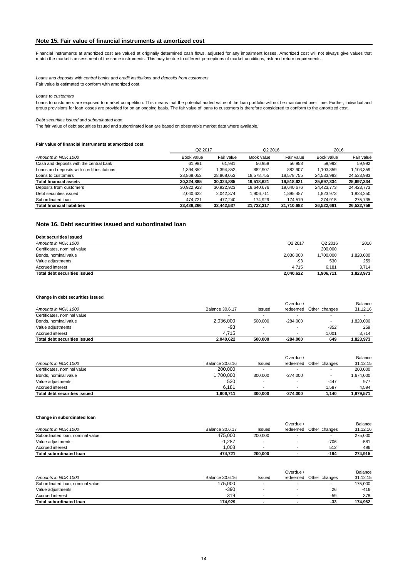#### **Note 15. Fair value of financial instruments at amortized cost**

#### *Loans to customers*

#### *Debt securities issued and subordinated loan*

#### **Fair value of financial instruments at amortized cost**

#### **Note 16. Debt securities issued and subordinated loan**

| Debt securities issued       |                          |                     |           |
|------------------------------|--------------------------|---------------------|-----------|
| Amounts in NOK 1000          | Q <sub>2</sub> 2017      | Q <sub>2</sub> 2016 | 2016      |
| Certificates, nominal value  | $\overline{\phantom{0}}$ | 200,000             |           |
| Bonds, nominal value         | 2,036,000                | 1,700,000           | .820,000  |
| Value adjustments            | -93                      | 530                 | 259       |
| Accrued interest             | 4.715                    | 6.181               | 3,714     |
| Total debt securities issued | 2,040,622                | 1,906,711           | 1,823,973 |

#### **Change in debt securities issued**

*Loans and deposits with central banks and credit institutions and deposits from customers* Fair value is estimated to conform with amortized cost.

| Q <sub>2</sub> 2017                         |            | Q <sub>2</sub> 2016 |            | 2016       |            |            |
|---------------------------------------------|------------|---------------------|------------|------------|------------|------------|
| Amounts in NOK 1000                         | Book value | Fair value          | Book value | Fair value | Book value | Fair value |
| Cash and deposits with the central bank     | 61,981     | 61,981              | 56,958     | 56,958     | 59,992     | 59.992     |
| Loans and deposits with credit institutions | 1,394,852  | 1,394,852           | 882,907    | 882,907    | 1,103,359  | 1,103,359  |
| Loans to customers                          | 28,868,053 | 28,868,053          | 18,578,755 | 18,578,755 | 24,533,983 | 24,533,983 |
| <b>Total financial assets</b>               | 30,324,885 | 30,324,885          | 19,518,621 | 19,518,621 | 25,697,334 | 25,697,334 |
| Deposits from customers                     | 30,922,923 | 30,922,923          | 19,640,676 | 19,640,676 | 24,423,773 | 24,423,773 |
| Debt securities issued                      | 2,040,622  | 2,042,374           | 1,906,711  | 895,487    | 1,823,973  | 1,823,250  |
| Subordinated Ioan                           | 474,721    | 477,240             | 174,929    | 174,519    | 274,915    | 275,735    |
| <b>Total financial liabilities</b>          | 33,438,266 | 33,442,537          | 21.722.317 | 21.710.682 | 26,522,661 | 26,522,758 |

#### **Change in subordinated loan**

| Value adiustments            | ,287<br>$\sim$ |         | $-706$       | $-581$  |
|------------------------------|----------------|---------|--------------|---------|
| ! interest<br>Accrued        | ,008           |         | 51C<br>ے ا ت | 496     |
| I subordinated Ioan<br>Total | 474.721        | 200.000 | $-194$       | 274,915 |

|                              |                 |                          | Overdue /                |               | Balance   |
|------------------------------|-----------------|--------------------------|--------------------------|---------------|-----------|
| Amounts in NOK 1000          | Balance 30.6.17 | <b>Issued</b>            | redeemed                 | Other changes | 31.12.16  |
| Certificates, nominal value  |                 |                          |                          |               |           |
| Bonds, nominal value         | 2,036,000       | 500,000                  | $-284.000$               |               | 000,020 ا |
| Value adjustments            | -93             | $\overline{\phantom{0}}$ |                          | $-352$        | 259       |
| Accrued interest             | 4.715           |                          | $\overline{\phantom{0}}$ | 1.001         | 3,714     |
| Total debt securities issued | 2,040,622       | 500,000                  | $-284.000$               | 649           | 1,823,973 |

The fair value of debt securities issued and subordinated loan are based on observable market data where available.

|                                     |                 |                          | Overdue /                |                          | Balance     |
|-------------------------------------|-----------------|--------------------------|--------------------------|--------------------------|-------------|
| Amounts in NOK 1000                 | Balance 30.6.16 | <b>Issued</b>            | redeemed                 | Other changes            | 31.12.15    |
| Certificates, nominal value         | 200,000         |                          |                          |                          | 200,000     |
| Bonds, nominal value                | 1,700,000       | 300,000                  | $-274.000$               | $\overline{\phantom{a}}$ | 000,741.674 |
| Value adjustments                   | 530             | -                        | $\overline{\phantom{0}}$ | $-447$                   | 977         |
| Accrued interest                    | 6.181           | $\overline{\phantom{0}}$ | $\overline{\phantom{0}}$ | 1.587                    | 4.594       |
| <b>Total debt securities issued</b> | l.906.711       | 300,000                  | $-274.000$               | 1,140                    | 1,879,571   |

Financial instruments at amortized cost are valued at originally determined cash flows, adjusted for any impairment losses. Amortized cost will not always give values that match the market's assessment of the same instruments. This may be due to different perceptions of market conditions, risk and return requirements.

|                                  |                        |         | Overdue . |               | Balance |
|----------------------------------|------------------------|---------|-----------|---------------|---------|
| Amounts in NOK 1000              | <b>Balance 30.6.17</b> | Issuec  | redeemed  | Other changes | 12.16   |
| Subordinated Ioan, nominal value | 475,000                | 200,000 |           |               | 275,000 |

|                                  |                 |        | Overdue / |                          | Balance  |
|----------------------------------|-----------------|--------|-----------|--------------------------|----------|
| Amounts in NOK 1000              | Balance 30.6.16 | Issued | redeemed  | Other changes            | 31.12.15 |
| Subordinated Ioan, nominal value | 175,000         | -      |           | $\overline{\phantom{a}}$ | 175,000  |
| Value adjustments                | $-390$          |        |           | 26                       | -416     |
| Accrued interest                 | 319             | -      |           | -59                      | 378      |
| <b>Total subordinated loan</b>   | 174.929         |        |           | -33                      | 174.962  |

Loans to customers are exposed to market competition. This means that the potential added value of the loan portfolio will not be maintained over time. Further, individual and group provisions for loan losses are provided for on an ongoing basis. The fair value of loans to customers is therefore considered to conform to the amortized cost.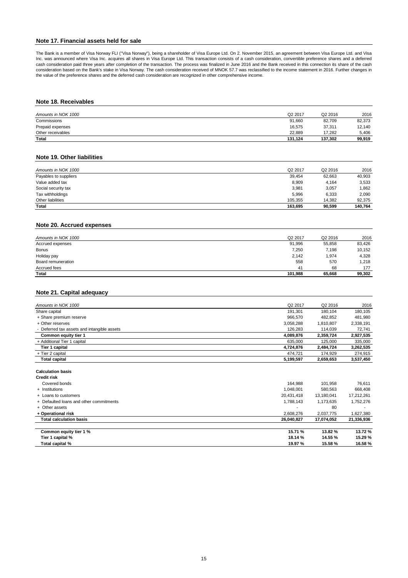#### **Note 17. Financial assets held for sale**

#### **Note 18. Receivables**

| Amounts in NOK 1000 | Q2 2017 | Q <sub>2</sub> 2016 | 2016   |
|---------------------|---------|---------------------|--------|
| Commissions         | 91,660  | 82,709              | 82,373 |
| Prepaid expenses    | 16,575  | 37,311              | 12,140 |
| Other receivables   | 22.889  | 17.282              | 5,406  |
| <b>Total</b>        | 131,124 | 137,302             | 99,919 |

#### **Note 19. Other liabilities**

| Amounts in NOK 1000   | Q <sub>2</sub> 2017 | Q <sub>2</sub> 2016 | 2016    |
|-----------------------|---------------------|---------------------|---------|
| Payables to suppliers | 39,454              | 62,663              | 40,903  |
| Value added tax       | 8,909               | 4,164               | 3,533   |
| Social security tax   | 3,981               | 3,057               | .862    |
| Tax withholdings      | 5,996               | 6,333               | 2,090   |
| Other liabilities     | 105,355             | 14,382              | 92,375  |
| <b>Total</b>          | 163,695             | 90,599              | 140,764 |

#### **Note 20. Accrued expenses**

| <b>Total</b>        | 101,988             | 65,668              | 99,302 |
|---------------------|---------------------|---------------------|--------|
| Accrued fees        | 4 <sup>1</sup>      | 68                  | 177    |
| Board remuneration  | 558                 | 570                 | 1,218  |
| Holiday pay         | 2,142               | 1,974               | 4,328  |
| <b>Bonus</b>        | 7,250               | 7,198               | 10,152 |
| Accrued expenses    | 91,996              | 55,858              | 83,426 |
| Amounts in NOK 1000 | Q <sub>2</sub> 2017 | Q <sub>2</sub> 2016 | 2016   |

#### **Note 21. Capital adequacy**

| Common equity tier 1 %                         | 15.71 %    | 13.82 %             | 13.72 %    |
|------------------------------------------------|------------|---------------------|------------|
| <b>Total calculation basis</b>                 | 26,040,827 | 17,074,052          | 21,336,936 |
| + Operational risk                             | 2,608,276  | 2,037,775           | 1,627,380  |
| + Other assets                                 |            | 80                  |            |
| + Defaulted loans and other commitments        | 1,788,143  | 1,173,635           | 1,752,276  |
| + Loans to customers                           | 20,431,418 | 13,180,041          | 17,212,261 |
| + Institutions                                 | 1,048,001  | 580,563             | 668,408    |
| Covered bonds                                  | 164,988    | 101,958             | 76,611     |
| <b>Calculation basis</b><br><b>Credit risk</b> |            |                     |            |
| <b>Total capital</b>                           | 5,199,597  | 2,659,653           | 3,537,450  |
| + Tier 2 capital                               | 474,721    | 174,929             | 274,915    |
| Tier 1 capital                                 | 4,724,876  | 2,484,724           | 3,262,535  |
| + Additional Tier 1 capital                    | 635,000    | 125,000             | 335,000    |
| Common equity tier 1                           | 4,089,876  | 2,359,724           | 2,927,535  |
| - Deferred tax assets and intangible assets    | 126,283    | 114,039             | 72,741     |
| + Other reserves                               | 3,058,288  | 1,810,807           | 2,338,191  |
| + Share premium reserve                        | 966,570    | 482,852             | 481,980    |
| Share capital                                  | 191,301    | 180,104             | 180,105    |
| Amounts in NOK 1000                            | Q2 2017    | Q <sub>2</sub> 2016 | 2016       |

| capital %<br>Tier         | 18.14 %                             | 14.55 % | 15.29 % |
|---------------------------|-------------------------------------|---------|---------|
| $\sim$<br>Total capital % | 19.97 %<br>$\overline{\phantom{a}}$ | 15.58 % | 16.58 % |

The Bank is a member of Visa Norway FLI ("Visa Norway"), being a shareholder of Visa Europe Ltd. On 2. November 2015, an agreement between Visa Europe Ltd. and Visa Inc. was announced where Visa Inc. acquires all shares in Visa Europe Ltd. This transaction consists of a cash consideration, convertible preference shares and a deferred cash consideration paid three years after completion of the transaction. The process was finalized in June 2016 and the Bank received in this connection its share of the cash consideration based on the Bank's stake in Visa Norway. The cash consideration received of MNOK 57.7 was reclassified to the income statement in 2016. Further changes in the value of the preference shares and the deferred cash consideration are recognized in other comprehensive income.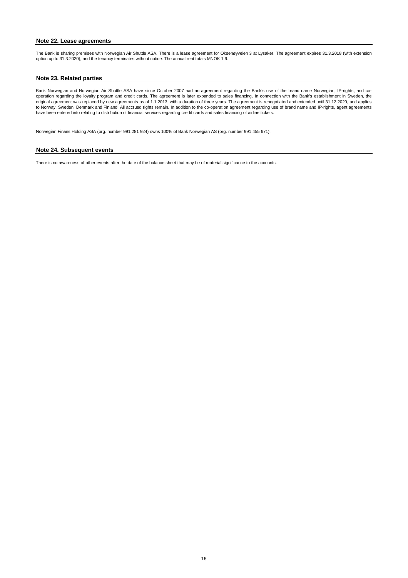#### **Note 23. Related parties**

#### **Note 24. Subsequent events**

There is no awareness of other events after the date of the balance sheet that may be of material significance to the accounts.

Norwegian Finans Holding ASA (org. number 991 281 924) owns 100% of Bank Norwegian AS (org. number 991 455 671).

Bank Norwegian and Norwegian Air Shuttle ASA have since October 2007 had an agreement regarding the Bank's use of the brand name Norwegian, IP-rights, and cooperation regarding the loyalty program and credit cards. The agreement is later expanded to sales financing. In connection with the Bank's establishment in Sweden, the original agreement was replaced by new agreements as of 1.1.2013, with a duration of three years. The agreement is renegotiated and extended until 31.12.2020, and applies to Norway, Sweden, Denmark and Finland. All accrued rights remain. In addition to the co-operation agreement regarding use of brand name and IP-rights, agent agreements have been entered into relating to distribution of financial services regarding credit cards and sales financing of airline tickets.

#### **Note 22. Lease agreements**

The Bank is sharing premises with Norwegian Air Shuttle ASA. There is a lease agreement for Oksenøyveien 3 at Lysaker. The agreement expires 31.3.2018 (with extension option up to 31.3.2020), and the tenancy terminates without notice. The annual rent totals MNOK 1.9.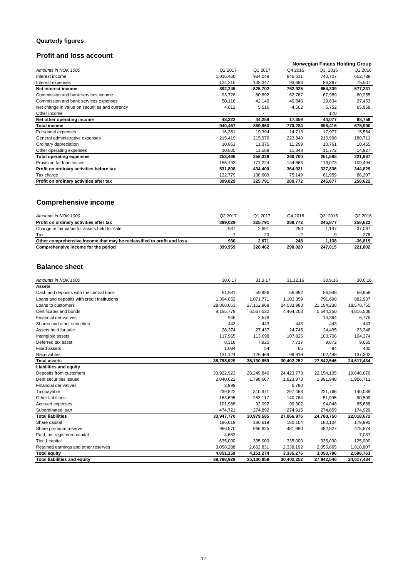### **Quarterly figures**

### **Profit and loss account**

#### **Norwegian Finans Holding Group**<br>4 2016 **Q3. 2016** Q2 2016 Prove Amounts in NOK 1000<br>
Amounts in NOK 1000<br> **Amounts in NOK 1000**<br> **Amounts in NOK 1000**<br> **Amounts in NOK 1000**<br> **Amounts in NOK 1000**<br> **AMOUNTS IN THE CONTRACT CONTRACT CONTRACT CONTRACT CONTRACT CONTRACT CONTRACT CON** Interest income 1,016,460 934,049 846,611 740,707 652,738 Interest expenses 25,507 and the state of the state of the 124,215 and 108,347 and 108,368 and 108,367 and 124,215 and 108,347 and 108,367 and 124,215 and 108,347 and 108,367 and 108,367 and 108,367 and 108,367 and 108,367 **Net interest income 892,245 825,702 752,925 654,339 577,231** Commission and bank services income 60,255 62,728 60,892 62,767 67,989 60,255 62,767 67,989 60,255 Commission and bank services expenses 60,118 42,149 40,846 29,834 27,453 Net change in value on securities and currency and the state of the state of the state of the state of the state of the state of the state of the state of the state of the state of the state of the state of the state of th Other income and the set of the set of the set of the set of the set of the set of the set of the set of the set of the set of the set of the set of the set of the set of the set of the set of the set of the set of the set **Net other operating income 48,222** 44,258 17,359 44,077 98,759 **Total income 940,467 869,960 770,284 698,416 675,990** Personnel expenses 16,354 19,394 14,713 17,977 15,564 General administrative expenses **215,419** 215,419 215,979 223,340 210,998 180,711 Ordinary depreciation 10,465 10,861 11,375 11,299 10,761 10,465<br>
Other operating expenses 2009 10,200 10,835 11,589 11,348 11,772 14,927 Other operating expenses 10,835 11,589 11,348 11,772 **Total operating expenses 253,466 258,336 260,700 251,508 221,667** Provision for loan losses 155,193 177,224 144,663 119,073 109,494 **Profit on ordinary activities before tax** 531,808 434,400 364,921 327,836 344,829 <br>Tax charge 132,779 108,609 75,149 81,959 86,207 Tax charge 132,779 108,609 75,149 81,959 86,207 **Profit on ordinary activities after tax** 399,029 325,791 289,772 245,877 258,622

### **Comprehensive income**

| Amounts in NOK 1000                                                    | Q <sub>2</sub> 2017 | Q1 2017 | Q4 2016 | Q3.2016 | Q <sub>2</sub> 2016 |
|------------------------------------------------------------------------|---------------------|---------|---------|---------|---------------------|
| Profit on ordinary activities after tax                                | 399.029             | 325,791 | 289.772 | 245.877 | 258.622             |
| Change in fair value for assets held for sale                          | 937                 | 2,691   | 250     | 1.147   | $-37,097$           |
| Tax                                                                    | - 1                 | $-20$   | $-2$    | -9      | 278                 |
| Other comprehensive income that may be reclassified to profit and loss | 930                 | 2.671   | 248     | 1.138   | $-36,819$           |
| Comprehensive income for the period                                    | 399.959             | 328,462 | 290.020 | 247.015 | 221,802             |

### **Balance sheet**

| Amounts in NOK 1000                         | 30.6.17    | 31.3.17    | 31.12.16   | 30.9.16    | 30.6.16    |
|---------------------------------------------|------------|------------|------------|------------|------------|
| <b>Assets</b>                               |            |            |            |            |            |
| Cash and deposits with the central bank     | 61,981     | 59,986     | 59,992     | 56,948     | 56,958     |
| Loans and deposits with credit institutions | 1,394,852  | 1,071,771  | 1,103,359  | 791,698    | 882,907    |
| Loans to customers                          | 28,868,053 | 27,152,968 | 24,533,983 | 21,194,238 | 18,578,755 |
| Certificates and bonds                      | 8,185,779  | 6,567,532  | 4,464,203  | 5,544,250  | 4,816,506  |
| <b>Financial derivatives</b>                | 946        | 2,578      |            | 14,364     | 6,775      |
| Shares and other securities                 | 443        | 443        | 443        | 443        | 443        |
| Assets held for sale                        | 28,374     | 27,437     | 24,745     | 24,495     | 23,348     |
| Intangible assets                           | 117,965    | 113,698    | 107,826    | 103,706    | 104,374    |
| Deferred tax asset                          | 8,318      | 7,925      | 7,717      | 9,872      | 9,665      |
| <b>Fixed assets</b>                         | 1,094      | 54         | 65         | 84         | 400        |
| Receivables                                 | 131,124    | 126,469    | 99,919     | 102,448    | 137,302    |
| <b>Total assets</b>                         | 38,798,929 | 35,130,859 | 30,402,252 | 27,842,546 | 24,617,434 |
| <b>Liabilities and equity</b>               |            |            |            |            |            |
| Deposits from customers                     | 30,922,923 | 28,249,846 | 24,423,773 | 22,154,135 | 19,640,676 |
| Debt securities issued                      | 2,040,622  | 1,798,667  | 1,823,973  | 1,991,948  | 1,906,711  |
| <b>Financial derivatives</b>                | 3,999      |            | 6,780      |            |            |
| Tax payable                                 | 239,822    | 310,971    | 297,468    | 221,766    | 140,088    |
| Other liabilities                           | 163,695    | 253,117    | 140,764    | 51,995     | 90,599     |
| Accrued expenses                            | 101,988    | 92,092     | 99,302     | 94,048     | 65,668     |
| Subordinated Ioan                           | 474,721    | 274,892    | 274,915    | 274,859    | 174,929    |
| <b>Total liabilities</b>                    | 33,947,770 | 30,979,585 | 27,066,976 | 24,788,750 | 22,018,672 |
| Share capital                               | 186,619    | 186,619    | 180,104    | 180,104    | 179,995    |
| Share premium reserve                       | 966,570    | 966,825    | 481,980    | 482,827    | 475,874    |
| Paid, not registered capital                | 4,683      |            |            |            | 7,087      |
| Tier 1 capital                              | 635,000    | 335,000    | 335,000    | 335,000    | 125,000    |
| Retained earnings and other reserves        | 3,058,288  | 2,662,831  | 2,338,192  | 2,055,865  | 1,810,807  |
| <b>Total equity</b>                         | 4,851,159  | 4,151,274  | 3,335,276  | 3,053,796  | 2,598,763  |
| <b>Total liabilities and equity</b>         | 38,798,929 | 35,130,859 | 30,402,252 | 27,842,546 | 24,617,434 |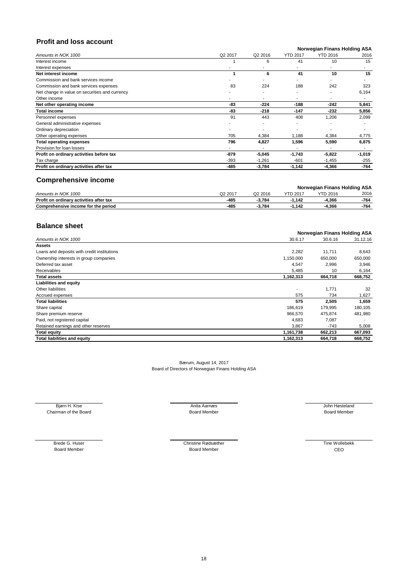### **Profit and loss account**

#### **Norwegian Finans Holding ASA**

| Amounts in NOK 1000                            | Q2 2017 | Q <sub>2</sub> 2016 | <b>YTD 2017</b> | <b>YTD 2016</b> | 2016     |
|------------------------------------------------|---------|---------------------|-----------------|-----------------|----------|
| Interest income                                |         | 6                   | 41              | 10              | 15       |
| Interest expenses                              |         |                     |                 |                 | ٠        |
| Net interest income                            |         | 6                   | 41              | 10              | 15       |
| Commission and bank services income            |         |                     |                 |                 |          |
| Commission and bank services expenses          | 83      | 224                 | 188             | 242             | 323      |
| Net change in value on securities and currency |         |                     |                 |                 | 6,164    |
| Other income                                   |         |                     |                 |                 |          |
| Net other operating income                     | -83     | $-224$              | $-188$          | $-242$          | 5,841    |
| <b>Total income</b>                            | -83     | $-218$              | -147            | $-232$          | 5,856    |
| Personnel expenses                             | 91      | 443                 | 408             | 1,206           | 2,099    |
| General administrative expenses                |         |                     |                 |                 |          |
| Ordinary depreciation                          |         |                     |                 |                 |          |
| Other operating expenses                       | 705     | 4,384               | 1,188           | 4,384           | 4,775    |
| <b>Total operating expenses</b>                | 796     | 4,827               | 1,596           | 5,590           | 6,875    |
| Provision for loan losses                      |         |                     |                 |                 |          |
| Profit on ordinary activities before tax       | $-879$  | $-5,045$            | $-1,743$        | $-5,822$        | $-1,019$ |
| Tax charge                                     | $-393$  | $-1,261$            | $-601$          | $-1,455$        | $-255$   |
| Profit on ordinary activities after tax        | -485    | $-3,784$            | $-1,142$        | $-4,366$        | -764     |

### **Comprehensive income**

|                                         |         |         |          | <b>Norwegian Finans Holding ASA</b> |      |
|-----------------------------------------|---------|---------|----------|-------------------------------------|------|
| Amounts in NOK 1000                     | Q2 2017 | Q2 2016 | YTD 2017 | <b>YTD 2016</b>                     | 2016 |
| Profit on ordinary activities after tax | -485    | -3.784  | .142     | $-4.366$                            | -764 |
| Comprehensive income for the period     | -485    | -3.784  | .142     | $-4.366$                            | -764 |

### **Balance sheet**

|                                             | <b>Norwegian Finans Holding ASA</b> |         |          |  |  |
|---------------------------------------------|-------------------------------------|---------|----------|--|--|
| Amounts in NOK 1000                         | 30.6.17                             | 30.6.16 | 31.12.16 |  |  |
| <b>Assets</b>                               |                                     |         |          |  |  |
| Loans and deposits with credit institutions | 2,282                               | 11,711  | 8,643    |  |  |
| Ownership interests in group companies      | 1,150,000                           | 650,000 | 650,000  |  |  |
| Deferred tax asset                          | 4,547                               | 2,996   | 3,946    |  |  |
| Receivables                                 | 5,485                               | 10      | 6,164    |  |  |
| <b>Total assets</b>                         | 1,162,313                           | 664,718 | 668,752  |  |  |
| <b>Liabilities and equity</b>               |                                     |         |          |  |  |
| Other liabilities                           |                                     | 1,771   | 32       |  |  |
| Accrued expenses                            | 575                                 | 734     | 1,627    |  |  |
| <b>Total liabilities</b>                    | 575                                 | 2,505   | 1,659    |  |  |
| Share capital                               | 186,619                             | 179,995 | 180,105  |  |  |
| Share premium reserve                       | 966,570                             | 475,874 | 481,980  |  |  |
| Paid, not registered capital                | 4,683                               | 7,087   |          |  |  |
| Retained earnings and other reserves        | 3,867                               | $-743$  | 5,008    |  |  |
| <b>Total equity</b>                         | 1,161,738                           | 662,213 | 667,093  |  |  |
| <b>Total liabilities and equity</b>         | 1,162,313                           | 664,718 | 668,752  |  |  |

Board Member CEO Board Member

Brede G. Huser Christine Rødsæther Christine Rødsæther Christine Rødsæther Christine Rødsæther CEO<br>Board Member CEO

Bærum, August 14, 2017 Board of Directors of Norwegian Finans Holding ASA

Bjørn H. Kise **Grade Construction Construction Anita Aarnæs** Anita Aarnæs **Grade Construction Construction Anita Aarnæs** Chairman of the Board Nember **Board Chairman of the Board Member** Board Member **Board Member** Board Member **Board Member**